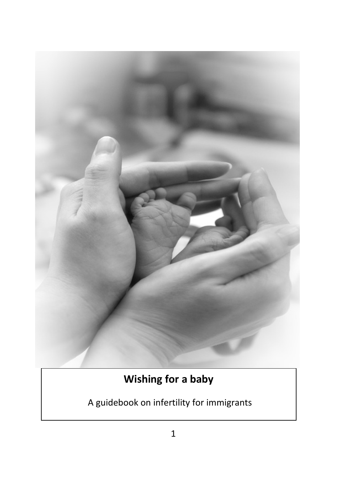

# **Wishing for a baby**

A guidebook on infertility for immigrants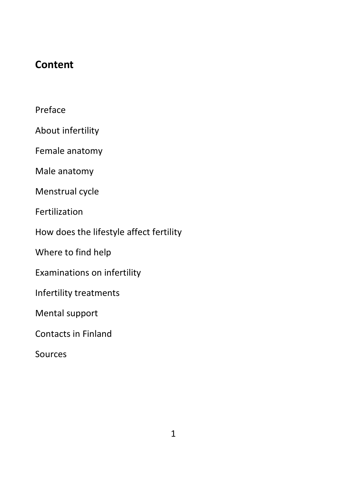## **Content**

Preface

About infertility

Female anatomy

Male anatomy

Menstrual cycle

Fertilization

How does the lifestyle affect fertility

Where to find help

Examinations on infertility

Infertility treatments

Mental support

Contacts in Finland

Sources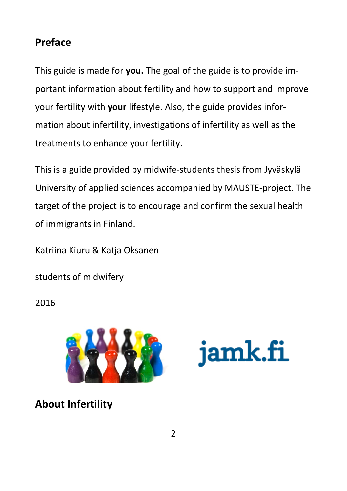## **Preface**

This guide is made for **you.** The goal of the guide is to provide important information about fertility and how to support and improve your fertility with **your** lifestyle. Also, the guide provides information about infertility, investigations of infertility as well as the treatments to enhance your fertility.

This is a guide provided by midwife-students thesis from Jyväskylä University of applied sciences accompanied by MAUSTE-project. The target of the project is to encourage and confirm the sexual health of immigrants in Finland.

Katriina Kiuru & Katja Oksanen

students of midwifery

2016



jamk.fi

**About Infertility**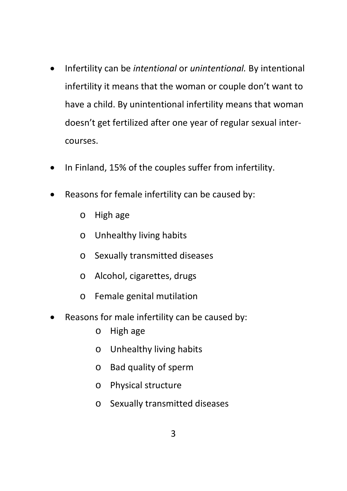- Infertility can be *intentional* or *unintentional.* By intentional infertility it means that the woman or couple don't want to have a child. By unintentional infertility means that woman doesn't get fertilized after one year of regular sexual intercourses.
- In Finland, 15% of the couples suffer from infertility.
- Reasons for female infertility can be caused by:
	- o High age
	- o Unhealthy living habits
	- o Sexually transmitted diseases
	- o Alcohol, cigarettes, drugs
	- o Female genital mutilation
- Reasons for male infertility can be caused by:
	- o High age
	- o Unhealthy living habits
	- o Bad quality of sperm
	- o Physical structure
	- o Sexually transmitted diseases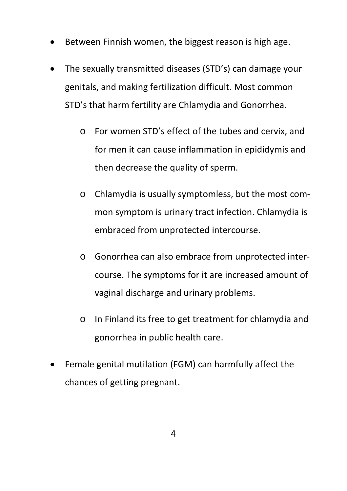- Between Finnish women, the biggest reason is high age.
- The sexually transmitted diseases (STD's) can damage your genitals, and making fertilization difficult. Most common STD's that harm fertility are Chlamydia and Gonorrhea.
	- o For women STD's effect of the tubes and cervix, and for men it can cause inflammation in epididymis and then decrease the quality of sperm.
	- o Chlamydia is usually symptomless, but the most common symptom is urinary tract infection. Chlamydia is embraced from unprotected intercourse.
	- o Gonorrhea can also embrace from unprotected intercourse. The symptoms for it are increased amount of vaginal discharge and urinary problems.
	- o In Finland its free to get treatment for chlamydia and gonorrhea in public health care.
- Female genital mutilation (FGM) can harmfully affect the chances of getting pregnant.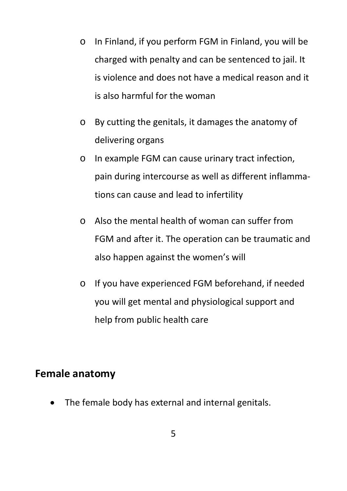- o In Finland, if you perform FGM in Finland, you will be charged with penalty and can be sentenced to jail. It is violence and does not have a medical reason and it is also harmful for the woman
- o By cutting the genitals, it damages the anatomy of delivering organs
- o In example FGM can cause urinary tract infection, pain during intercourse as well as different inflammations can cause and lead to infertility
- $\circ$  Also the mental health of woman can suffer from FGM and after it. The operation can be traumatic and also happen against the women's will
- o If you have experienced FGM beforehand, if needed you will get mental and physiological support and help from public health care

### **Female anatomy**

• The female body has external and internal genitals.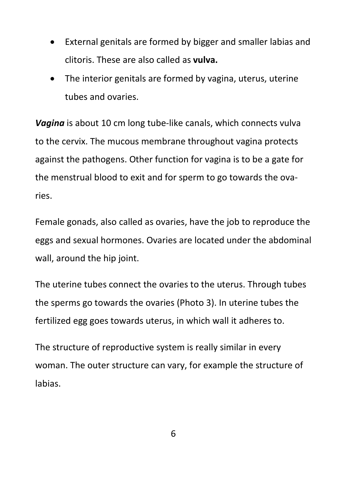- External genitals are formed by bigger and smaller labias and clitoris. These are also called as **vulva.**
- The interior genitals are formed by vagina, uterus, uterine tubes and ovaries.

*Vagina* is about 10 cm long tube-like canals, which connects vulva to the cervix. The mucous membrane throughout vagina protects against the pathogens. Other function for vagina is to be a gate for the menstrual blood to exit and for sperm to go towards the ovaries.

Female gonads, also called as ovaries, have the job to reproduce the eggs and sexual hormones. Ovaries are located under the abdominal wall, around the hip joint.

The uterine tubes connect the ovaries to the uterus. Through tubes the sperms go towards the ovaries (Photo 3). In uterine tubes the fertilized egg goes towards uterus, in which wall it adheres to.

The structure of reproductive system is really similar in every woman. The outer structure can vary, for example the structure of labias.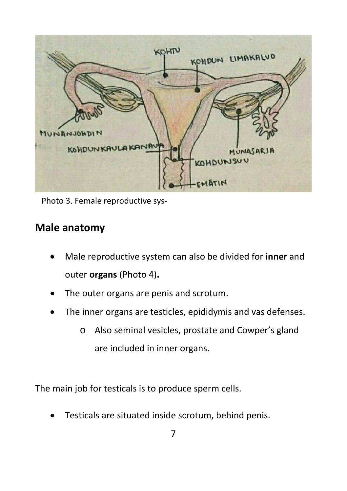

Photo 3. Female reproductive sys-

## **Male anatomy**

- Male reproductive system can also be divided for **inner** and outer **organs** (Photo 4)**.**
- The outer organs are penis and scrotum.
- The inner organs are testicles, epididymis and vas defenses.
	- o Also seminal vesicles, prostate and Cowper's gland are included in inner organs.

The main job for testicals is to produce sperm cells.

• Testicals are situated inside scrotum, behind penis.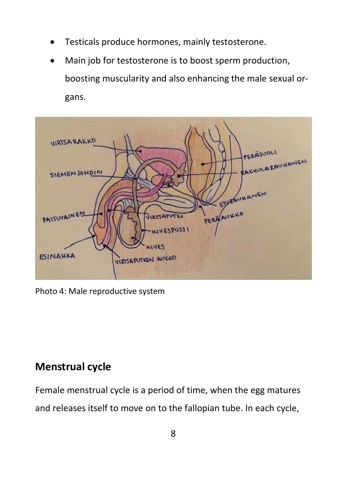- Testicals produce hormones, mainly testosterone.
- Main job for testosterone is to boost sperm production, boosting muscularity and also enhancing the male sexual organs.



Photo 4: Male reproductive system

## **Menstrual cycle**

Female menstrual cycle is a period of time, when the egg matures and releases itself to move on to the fallopian tube. In each cycle,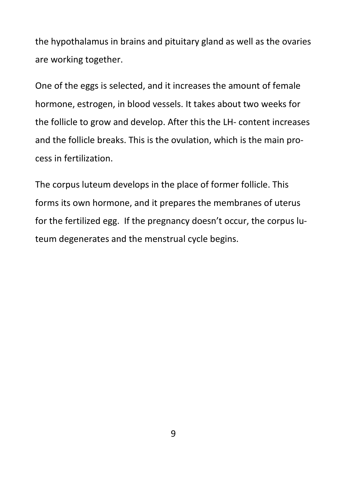the hypothalamus in brains and pituitary gland as well as the ovaries are working together.

One of the eggs is selected, and it increases the amount of female hormone, estrogen, in blood vessels. It takes about two weeks for the follicle to grow and develop. After this the LH- content increases and the follicle breaks. This is the ovulation, which is the main process in fertilization.

The corpus luteum develops in the place of former follicle. This forms its own hormone, and it prepares the membranes of uterus for the fertilized egg. If the pregnancy doesn't occur, the corpus luteum degenerates and the menstrual cycle begins.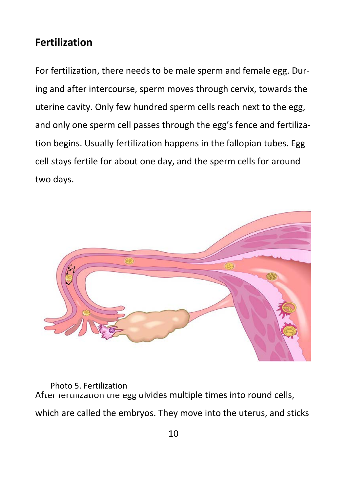## **Fertilization**

For fertilization, there needs to be male sperm and female egg. During and after intercourse, sperm moves through cervix, towards the uterine cavity. Only few hundred sperm cells reach next to the egg, and only one sperm cell passes through the egg's fence and fertilization begins. Usually fertilization happens in the fallopian tubes. Egg cell stays fertile for about one day, and the sperm cells for around two days.



After rertilization the egg divides multiple times into round cells, which are called the embryos. They move into the uterus, and sticks Photo 5. Fertilization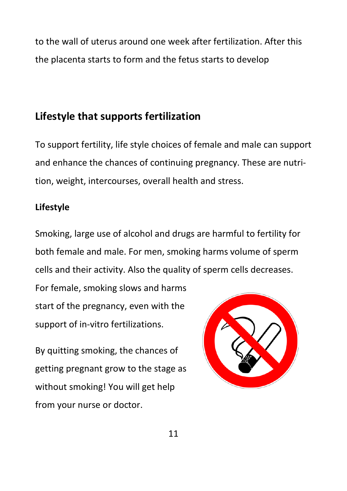to the wall of uterus around one week after fertilization. After this the placenta starts to form and the fetus starts to develop

## **Lifestyle that supports fertilization**

To support fertility, life style choices of female and male can support and enhance the chances of continuing pregnancy. These are nutrition, weight, intercourses, overall health and stress.

### **Lifestyle**

Smoking, large use of alcohol and drugs are harmful to fertility for both female and male. For men, smoking harms volume of sperm cells and their activity. Also the quality of sperm cells decreases.

For female, smoking slows and harms start of the pregnancy, even with the support of in-vitro fertilizations.

By quitting smoking, the chances of getting pregnant grow to the stage as without smoking! You will get help from your nurse or doctor.

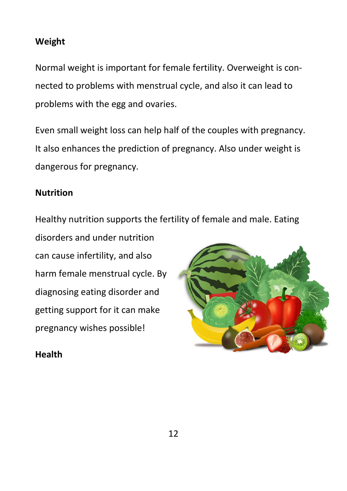### **Weight**

Normal weight is important for female fertility. Overweight is connected to problems with menstrual cycle, and also it can lead to problems with the egg and ovaries.

Even small weight loss can help half of the couples with pregnancy. It also enhances the prediction of pregnancy. Also under weight is dangerous for pregnancy.

### **Nutrition**

Healthy nutrition supports the fertility of female and male. Eating

disorders and under nutrition can cause infertility, and also harm female menstrual cycle. By diagnosing eating disorder and getting support for it can make pregnancy wishes possible!

### **Health**

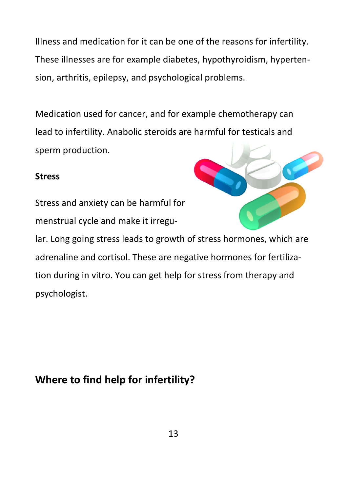Illness and medication for it can be one of the reasons for infertility. These illnesses are for example diabetes, hypothyroidism, hypertension, arthritis, epilepsy, and psychological problems.

Medication used for cancer, and for example chemotherapy can lead to infertility. Anabolic steroids are harmful for testicals and sperm production.

### **Stress**

Stress and anxiety can be harmful for menstrual cycle and make it irregu-



lar. Long going stress leads to growth of stress hormones, which are adrenaline and cortisol. These are negative hormones for fertilization during in vitro. You can get help for stress from therapy and psychologist.

## **Where to find help for infertility?**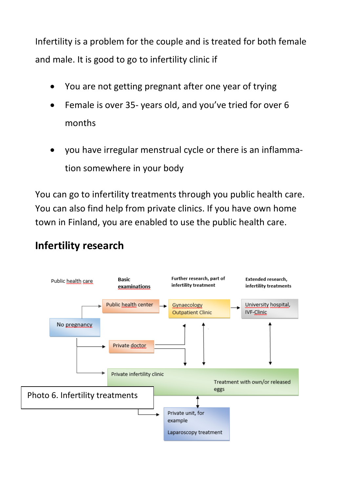Infertility is a problem for the couple and is treated for both female and male. It is good to go to infertility clinic if

- You are not getting pregnant after one year of trying
- Female is over 35- years old, and you've tried for over 6 months
- you have irregular menstrual cycle or there is an inflammation somewhere in your body

You can go to infertility treatments through you public health care. You can also find help from private clinics. If you have own home town in Finland, you are enabled to use the public health care.

## **Infertility research**

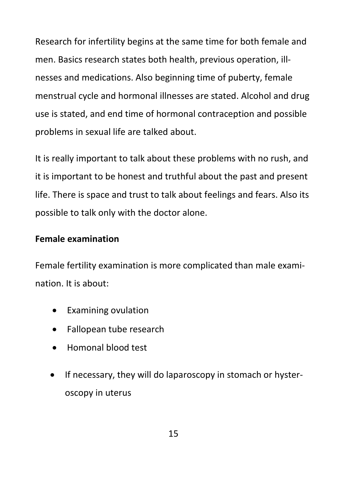Research for infertility begins at the same time for both female and men. Basics research states both health, previous operation, illnesses and medications. Also beginning time of puberty, female menstrual cycle and hormonal illnesses are stated. Alcohol and drug use is stated, and end time of hormonal contraception and possible problems in sexual life are talked about.

It is really important to talk about these problems with no rush, and it is important to be honest and truthful about the past and present life. There is space and trust to talk about feelings and fears. Also its possible to talk only with the doctor alone.

### **Female examination**

Female fertility examination is more complicated than male examination. It is about:

- Examining ovulation
- Fallopean tube research
- Homonal blood test
- If necessary, they will do laparoscopy in stomach or hysteroscopy in uterus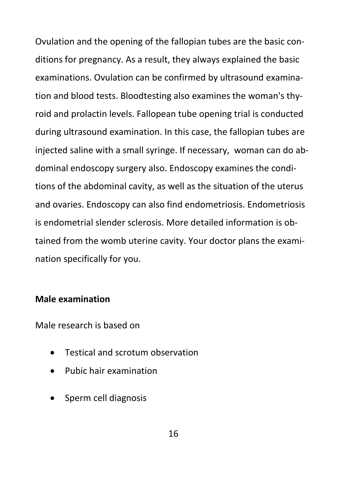Ovulation and the opening of the fallopian tubes are the basic conditions for pregnancy. As a result, they always explained the basic examinations. Ovulation can be confirmed by ultrasound examination and blood tests. Bloodtesting also examines the woman's thyroid and prolactin levels. Fallopean tube opening trial is conducted during ultrasound examination. In this case, the fallopian tubes are injected saline with a small syringe. If necessary, woman can do abdominal endoscopy surgery also. Endoscopy examines the conditions of the abdominal cavity, as well as the situation of the uterus and ovaries. Endoscopy can also find endometriosis. Endometriosis is endometrial slender sclerosis. More detailed information is obtained from the womb uterine cavity. Your doctor plans the examination specifically for you.

### **Male examination**

Male research is based on

- Testical and scrotum observation
- Pubic hair examination
- Sperm cell diagnosis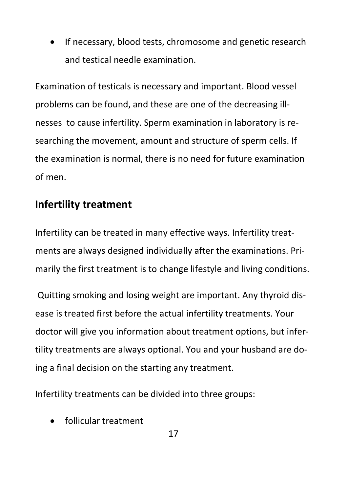If necessary, blood tests, chromosome and genetic research and testical needle examination.

Examination of testicals is necessary and important. Blood vessel problems can be found, and these are one of the decreasing illnesses to cause infertility. Sperm examination in laboratory is researching the movement, amount and structure of sperm cells. If the examination is normal, there is no need for future examination of men.

## **Infertility treatment**

Infertility can be treated in many effective ways. Infertility treatments are always designed individually after the examinations. Primarily the first treatment is to change lifestyle and living conditions.

Quitting smoking and losing weight are important. Any thyroid disease is treated first before the actual infertility treatments. Your doctor will give you information about treatment options, but infertility treatments are always optional. You and your husband are doing a final decision on the starting any treatment.

Infertility treatments can be divided into three groups:

• follicular treatment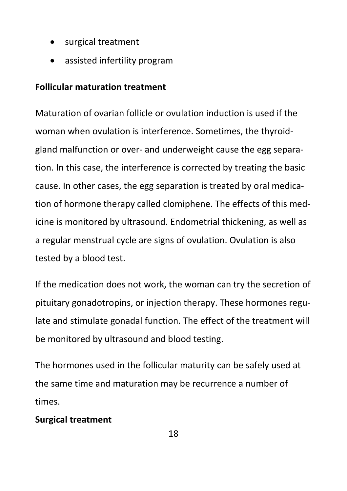- surgical treatment
- assisted infertility program

### **Follicular maturation treatment**

Maturation of ovarian follicle or ovulation induction is used if the woman when ovulation is interference. Sometimes, the thyroidgland malfunction or over- and underweight cause the egg separation. In this case, the interference is corrected by treating the basic cause. In other cases, the egg separation is treated by oral medication of hormone therapy called clomiphene. The effects of this medicine is monitored by ultrasound. Endometrial thickening, as well as a regular menstrual cycle are signs of ovulation. Ovulation is also tested by a blood test.

If the medication does not work, the woman can try the secretion of pituitary gonadotropins, or injection therapy. These hormones regulate and stimulate gonadal function. The effect of the treatment will be monitored by ultrasound and blood testing.

The hormones used in the follicular maturity can be safely used at the same time and maturation may be recurrence a number of times.

### **Surgical treatment**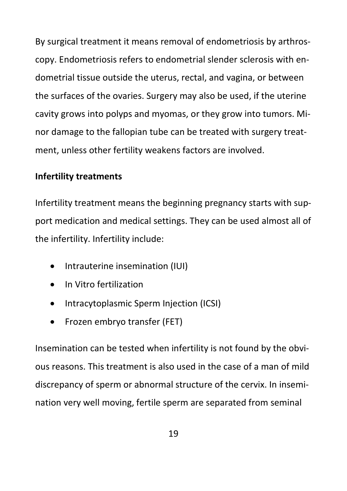By surgical treatment it means removal of endometriosis by arthroscopy. Endometriosis refers to endometrial slender sclerosis with endometrial tissue outside the uterus, rectal, and vagina, or between the surfaces of the ovaries. Surgery may also be used, if the uterine cavity grows into polyps and myomas, or they grow into tumors. Minor damage to the fallopian tube can be treated with surgery treatment, unless other fertility weakens factors are involved.

### **Infertility treatments**

Infertility treatment means the beginning pregnancy starts with support medication and medical settings. They can be used almost all of the infertility. Infertility include:

- Intrauterine insemination (IUI)
- In Vitro fertilization
- Intracytoplasmic Sperm Injection (ICSI)
- Frozen embryo transfer (FET)

Insemination can be tested when infertility is not found by the obvious reasons. This treatment is also used in the case of a man of mild discrepancy of sperm or abnormal structure of the cervix. In insemination very well moving, fertile sperm are separated from seminal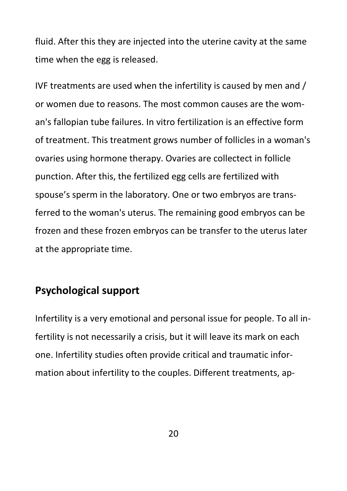fluid. After this they are injected into the uterine cavity at the same time when the egg is released.

IVF treatments are used when the infertility is caused by men and / or women due to reasons. The most common causes are the woman's fallopian tube failures. In vitro fertilization is an effective form of treatment. This treatment grows number of follicles in a woman's ovaries using hormone therapy. Ovaries are collectect in follicle punction. After this, the fertilized egg cells are fertilized with spouse's sperm in the laboratory. One or two embryos are transferred to the woman's uterus. The remaining good embryos can be frozen and these frozen embryos can be transfer to the uterus later at the appropriate time.

### **Psychological support**

Infertility is a very emotional and personal issue for people. To all infertility is not necessarily a crisis, but it will leave its mark on each one. Infertility studies often provide critical and traumatic information about infertility to the couples. Different treatments, ap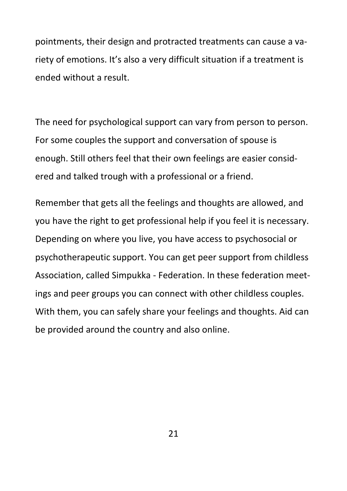pointments, their design and protracted treatments can cause a variety of emotions. It's also a very difficult situation if a treatment is ended without a result.

The need for psychological support can vary from person to person. For some couples the support and conversation of spouse is enough. Still others feel that their own feelings are easier considered and talked trough with a professional or a friend.

Remember that gets all the feelings and thoughts are allowed, and you have the right to get professional help if you feel it is necessary. Depending on where you live, you have access to psychosocial or psychotherapeutic support. You can get peer support from childless Association, called Simpukka - Federation. In these federation meetings and peer groups you can connect with other childless couples. With them, you can safely share your feelings and thoughts. Aid can be provided around the country and also online.

21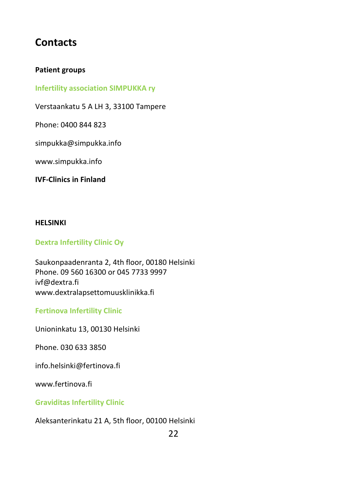## **Contacts**

#### **Patient groups**

#### **Infertility association SIMPUKKA ry**

Verstaankatu 5 A LH 3, 33100 Tampere

Phone: 0400 844 823

simpukka@simpukka.info

www.simpukka.info

**IVF-Clinics in Finland**

#### **HELSINKI**

#### **Dextra Infertility Clinic Oy**

Saukonpaadenranta 2, 4th floor, 00180 Helsinki Phone. 09 560 16300 or 045 7733 9997 ivf@dextra.fi www.dextralapsettomuusklinikka.fi

**Fertinova Infertility Clinic**

Unioninkatu 13, 00130 Helsinki

Phone. 030 633 3850

info.helsinki@fertinova.fi

[www.fertinova.fi](http://www.fertinova.fi/)

**Graviditas Infertility Clinic**

Aleksanterinkatu 21 A, 5th floor, 00100 Helsinki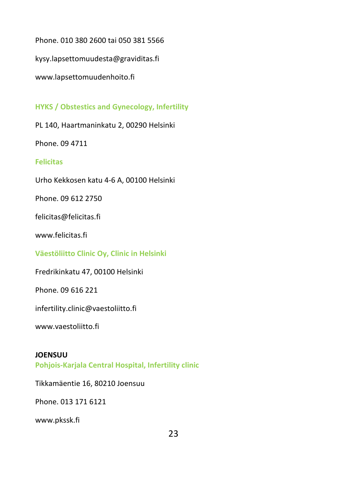Phone. 010 380 2600 tai 050 381 5566

kysy.lapsettomuudesta@graviditas.fi

[www.lapsettomuudenhoito.fi](http://www.lapsettomuudenhoito.fi/)

**HYKS / Obstestics and Gynecology, Infertility** 

PL 140, Haartmaninkatu 2, 00290 Helsinki

Phone. 09 4711

#### **Felicitas**

Urho Kekkosen katu 4-6 A, 00100 Helsinki

Phone. 09 612 2750

felicitas@felicitas.fi

www.felicitas.fi

**Väestöliitto Clinic Oy, Clinic in Helsinki**

Fredrikinkatu 47, 00100 Helsinki

Phone. 09 616 221

infertility.clinic@vaestoliitto.fi

[www.vaestoliitto.fi](http://www.vaestoliitto.fi/)

#### **JOENSUU**

**Pohjois-Karjala Central Hospital, Infertility clinic**

Tikkamäentie 16, 80210 Joensuu

Phone. 013 171 6121

[www.pkssk.fi](http://www.pkssk.fi/)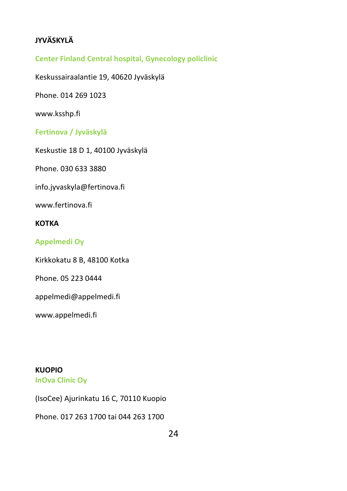### **JYVÄSKYLÄ**

**Center Finland Central hospital, Gynecology policlinic** 

Keskussairaalantie 19, 40620 Jyväskylä

Phone. 014 269 1023

www.ksshp.fi

**Fertinova / Jyväskylä**

Keskustie 18 D 1, 40100 Jyväskylä

Phone. 030 633 3880

info.jyvaskyla@fertinova.fi

www.fertinova.fi

#### **KOTKA**

#### **Appelmedi Oy**

Kirkkokatu 8 B, 48100 Kotka

Phone. 05 223 0444

appelmedi@appelmedi.fi

www.appelmedi.fi

**KUOPIO**

**InOva Clinic Oy**

(IsoCee) Ajurinkatu 16 C, 70110 Kuopio

Phone. 017 263 1700 tai 044 263 1700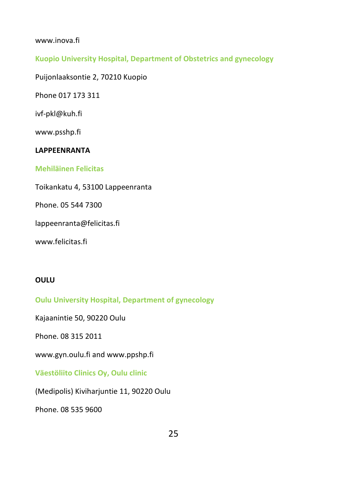#### www.inova.fi

#### **Kuopio University Hospital, Department of Obstetrics and gynecology**

Puijonlaaksontie 2, 70210 Kuopio

Phone 017 173 311

ivf-pkl@kuh.fi

www.psshp.fi

#### **LAPPEENRANTA**

#### **Mehiläinen Felicitas**

Toikankatu 4, 53100 Lappeenranta

Phone. 05 544 7300

lappeenranta@felicitas.fi

www.felicitas.fi

#### **OULU**

**Oulu University Hospital, Department of gynecology**

Kajaanintie 50, 90220 Oulu

Phone. 08 315 2011

www.gyn.oulu.fi and www.ppshp.fi

**Väestöliito Clinics Oy, Oulu clinic**

(Medipolis) Kiviharjuntie 11, 90220 Oulu

Phone. 08 535 9600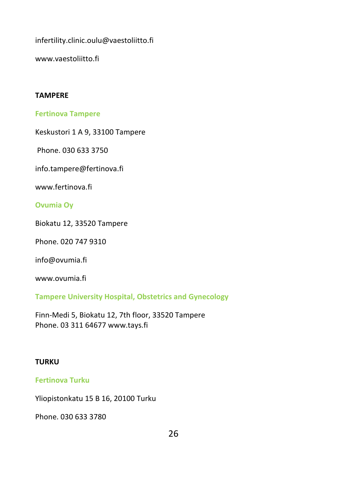infertility.clinic.oulu@vaestoliitto.fi

www.vaestoliitto.fi

#### **TAMPERE**

#### **Fertinova Tampere**

Keskustori 1 A 9, 33100 Tampere

Phone. 030 633 3750

info.tampere@fertinova.fi

www.fertinova.fi

#### **Ovumia Oy**

Biokatu 12, 33520 Tampere

Phone. 020 747 9310

info@ovumia.fi

www.ovumia.fi

**Tampere University Hospital, Obstetrics and Gynecology** 

Finn-Medi 5, Biokatu 12, 7th floor, 33520 Tampere Phone. 03 311 6467[7 www.tays.fi](http://www.tays.fi/)

#### **TURKU**

#### **Fertinova Turku**

Yliopistonkatu 15 B 16, 20100 Turku

Phone. 030 633 3780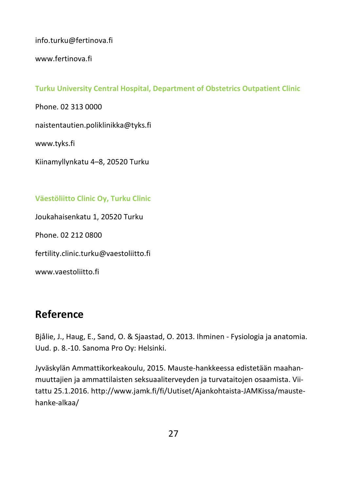info.turku@fertinova.fi

www.fertinova.fi

#### **Turku University Central Hospital, Department of Obstetrics Outpatient Clinic**

Phone. 02 313 0000 naistentautien.poliklinikka@tyks.fi

www.tyks.fi

Kiinamyllynkatu 4–8, 20520 Turku

#### **Väestöliitto Clinic Oy, Turku Clinic**

Joukahaisenkatu 1, 20520 Turku

Phone. 02 212 0800

fertility.clinic.turku@vaestoliitto.fi

www.vaestoliitto.fi

## **Reference**

Bjålie, J., Haug, E., Sand, O. & Sjaastad, O. 2013. Ihminen - Fysiologia ja anatomia. Uud. p. 8.-10. Sanoma Pro Oy: Helsinki.

Jyväskylän Ammattikorkeakoulu, 2015. Mauste-hankkeessa edistetään maahanmuuttajien ja ammattilaisten seksuaaliterveyden ja turvataitojen osaamista. Viitattu 25.1.2016. http://www.jamk.fi/fi/Uutiset/Ajankohtaista-JAMKissa/maustehanke-alkaa/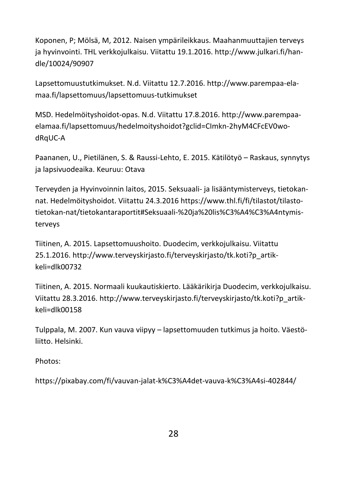Koponen, P; Mölsä, M, 2012. Naisen ympärileikkaus. Maahanmuuttajien terveys ja hyvinvointi. THL verkkojulkaisu. Viitattu 19.1.2016. http://www.julkari.fi/handle/10024/90907

Lapsettomuustutkimukset. N.d. Viitattu 12.7.2016. http://www.parempaa-elamaa.fi/lapsettomuus/lapsettomuus-tutkimukset

MSD. Hedelmöityshoidot-opas. N.d. Viitattu 17.8.2016. http://www.parempaaelamaa.fi/lapsettomuus/hedelmoityshoidot?gclid=CImkn-2hyM4CFcEV0wodRqUC-A

Paananen, U., Pietilänen, S. & Raussi-Lehto, E. 2015. Kätilötyö – Raskaus, synnytys ja lapsivuodeaika. Keuruu: Otava

Terveyden ja Hyvinvoinnin laitos, 2015. Seksuaali- ja lisääntymisterveys, tietokannat. Hedelmöityshoidot. Viitattu 24.3.2016 https://www.thl.fi/fi/tilastot/tilastotietokan-nat/tietokantaraportit#Seksuaali-%20ja%20lis%C3%A4%C3%A4ntymisterveys

Tiitinen, A. 2015. Lapsettomuushoito. Duodecim, verkkojulkaisu. Viitattu 25.1.2016. http://www.terveyskirjasto.fi/terveyskirjasto/tk.koti?p\_artikkeli=dlk00732

Tiitinen, A. 2015. Normaali kuukautiskierto. Lääkärikirja Duodecim, verkkojulkaisu. Viitattu 28.3.2016. http://www.terveyskirjasto.fi/terveyskirjasto/tk.koti?p\_artikkeli=dlk00158

Tulppala, M. 2007. Kun vauva viipyy – lapsettomuuden tutkimus ja hoito. Väestöliitto. Helsinki.

Photos:

https://pixabay.com/fi/vauvan-jalat-k%C3%A4det-vauva-k%C3%A4si-402844/